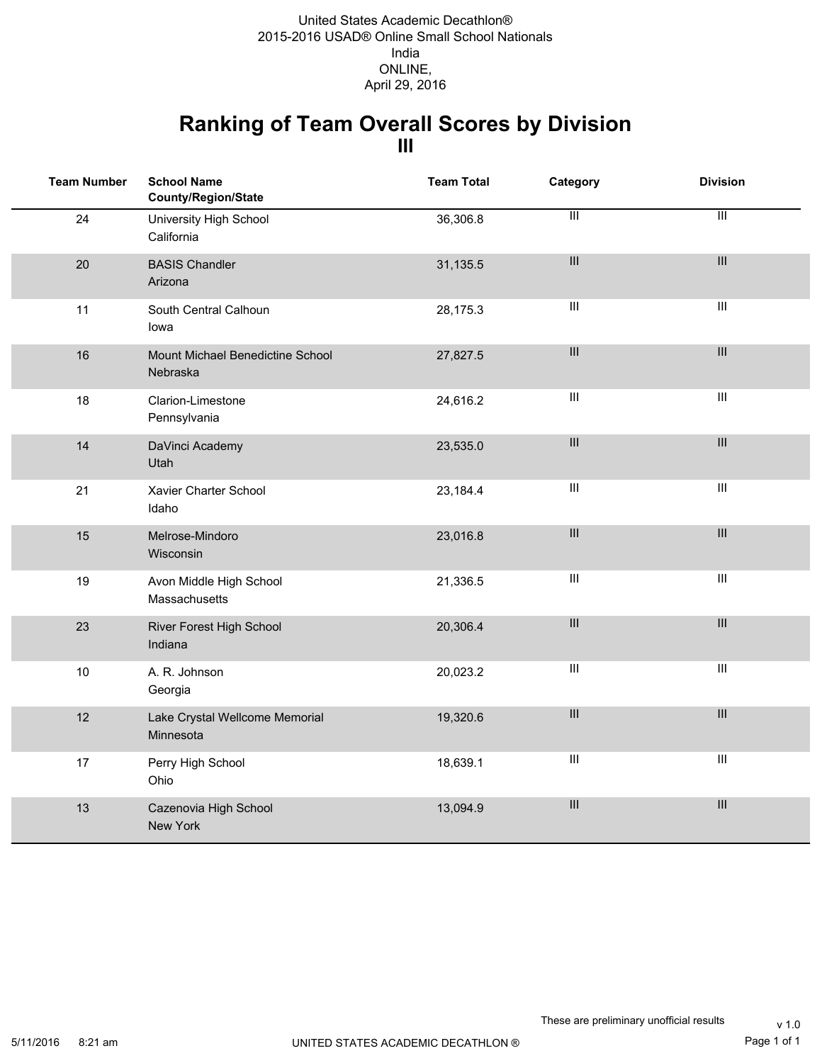### **Ranking of Team Overall Scores by Division III**

| <b>Team Number</b> | <b>School Name</b><br>County/Region/State    | <b>Team Total</b> | Category                           | <b>Division</b>                    |
|--------------------|----------------------------------------------|-------------------|------------------------------------|------------------------------------|
| 24                 | University High School<br>California         | 36,306.8          | $\overline{\mathbb{H}}$            | $\overline{\mathbb{H}}$            |
| 20                 | <b>BASIS Chandler</b><br>Arizona             | 31,135.5          | $\ensuremath{\mathsf{III}}\xspace$ | $\ensuremath{\mathsf{III}}\xspace$ |
| 11                 | South Central Calhoun<br>lowa                | 28,175.3          | $\ensuremath{\mathsf{III}}\xspace$ | $\ensuremath{\mathsf{III}}\xspace$ |
| 16                 | Mount Michael Benedictine School<br>Nebraska | 27,827.5          | $\ensuremath{\mathsf{III}}\xspace$ | $\mathop{\rm III}$                 |
| 18                 | Clarion-Limestone<br>Pennsylvania            | 24,616.2          | $\ensuremath{\mathsf{III}}\xspace$ | $\ensuremath{\mathsf{III}}\xspace$ |
| 14                 | DaVinci Academy<br>Utah                      | 23,535.0          | $\ensuremath{\mathsf{III}}\xspace$ | $\ensuremath{\mathsf{III}}\xspace$ |
| 21                 | Xavier Charter School<br>Idaho               | 23,184.4          | $\ensuremath{\mathsf{III}}\xspace$ | $\ensuremath{\mathsf{III}}\xspace$ |
| 15                 | Melrose-Mindoro<br>Wisconsin                 | 23,016.8          | $\ensuremath{\mathsf{III}}\xspace$ | $\mathop{\rm III}$                 |
| 19                 | Avon Middle High School<br>Massachusetts     | 21,336.5          | $\ensuremath{\mathsf{III}}\xspace$ | $\overline{\text{III}}$            |
| 23                 | River Forest High School<br>Indiana          | 20,306.4          | $\ensuremath{\mathsf{III}}\xspace$ | $\ensuremath{\mathsf{III}}\xspace$ |
| 10                 | A. R. Johnson<br>Georgia                     | 20,023.2          | $\ensuremath{\mathsf{III}}\xspace$ | $\ensuremath{\mathsf{III}}\xspace$ |
| 12                 | Lake Crystal Wellcome Memorial<br>Minnesota  | 19,320.6          | $\ensuremath{\mathsf{III}}\xspace$ | $\mathop{\rm III}$                 |
| 17                 | Perry High School<br>Ohio                    | 18,639.1          | $\ensuremath{\mathsf{III}}\xspace$ | $\ensuremath{\mathsf{III}}\xspace$ |
| 13                 | Cazenovia High School<br>New York            | 13,094.9          | $\ensuremath{\mathsf{III}}\xspace$ | $\ensuremath{\mathsf{III}}\xspace$ |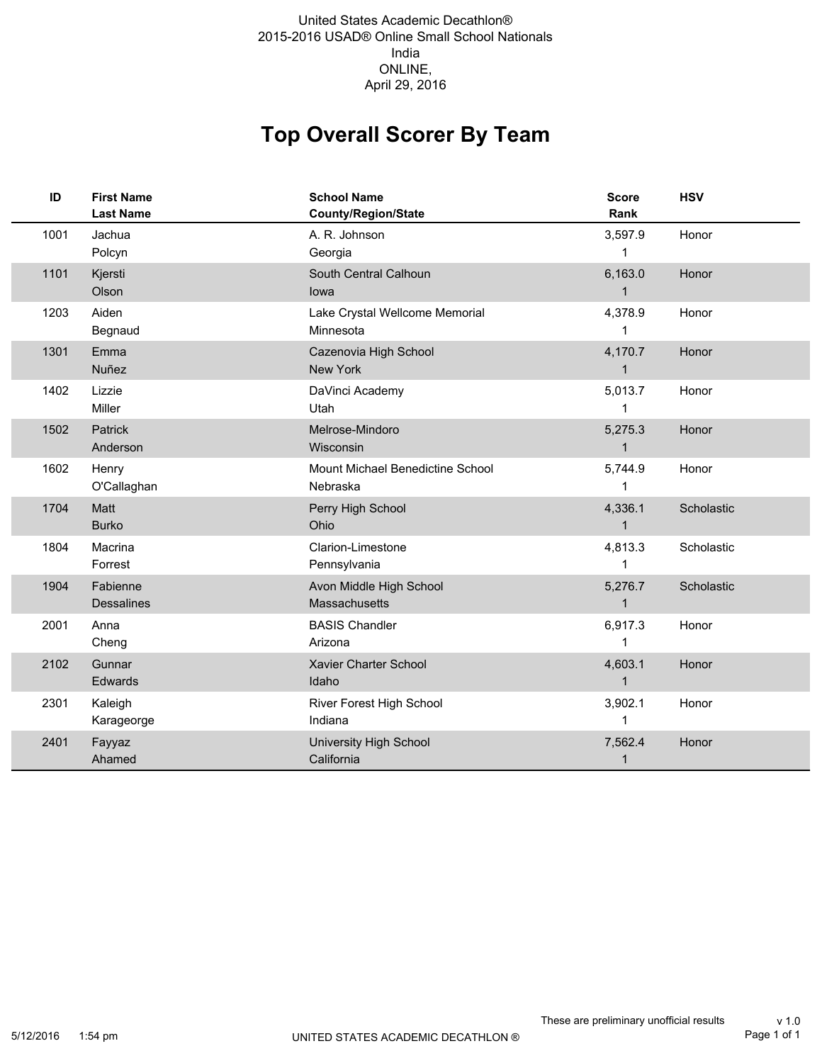#### 2015-2016 USAD® Online Small School Nationals India ONLINE, United States Academic Decathlon® April 29, 2016

# **Top Overall Scorer By Team**

| ID   | <b>First Name</b><br><b>Last Name</b> | <b>School Name</b><br><b>County/Region/State</b> | <b>Score</b><br>Rank    | <b>HSV</b> |
|------|---------------------------------------|--------------------------------------------------|-------------------------|------------|
| 1001 | Jachua<br>Polcyn                      | A. R. Johnson<br>Georgia                         | 3,597.9<br>1            | Honor      |
| 1101 | Kjersti<br>Olson                      | South Central Calhoun<br>lowa                    | 6,163.0<br>1            | Honor      |
| 1203 | Aiden<br>Begnaud                      | Lake Crystal Wellcome Memorial<br>Minnesota      | 4,378.9<br>1            | Honor      |
| 1301 | Emma<br>Nuñez                         | Cazenovia High School<br>New York                | 4,170.7<br>1            | Honor      |
| 1402 | Lizzie<br>Miller                      | DaVinci Academy<br>Utah                          | 5,013.7<br>1            | Honor      |
| 1502 | Patrick<br>Anderson                   | Melrose-Mindoro<br>Wisconsin                     | 5,275.3<br>1            | Honor      |
| 1602 | Henry<br>O'Callaghan                  | Mount Michael Benedictine School<br>Nebraska     | 5,744.9<br>1            | Honor      |
| 1704 | Matt<br><b>Burko</b>                  | Perry High School<br>Ohio                        | 4,336.1<br>1            | Scholastic |
| 1804 | Macrina<br>Forrest                    | Clarion-Limestone<br>Pennsylvania                | 4,813.3<br>1            | Scholastic |
| 1904 | Fabienne<br><b>Dessalines</b>         | Avon Middle High School<br>Massachusetts         | 5,276.7<br>1            | Scholastic |
| 2001 | Anna<br>Cheng                         | <b>BASIS Chandler</b><br>Arizona                 | 6,917.3<br>1            | Honor      |
| 2102 | Gunnar<br>Edwards                     | Xavier Charter School<br>Idaho                   | 4,603.1<br>$\mathbf{1}$ | Honor      |
| 2301 | Kaleigh<br>Karageorge                 | River Forest High School<br>Indiana              | 3,902.1<br>1            | Honor      |
| 2401 | Fayyaz<br>Ahamed                      | <b>University High School</b><br>California      | 7,562.4<br>1            | Honor      |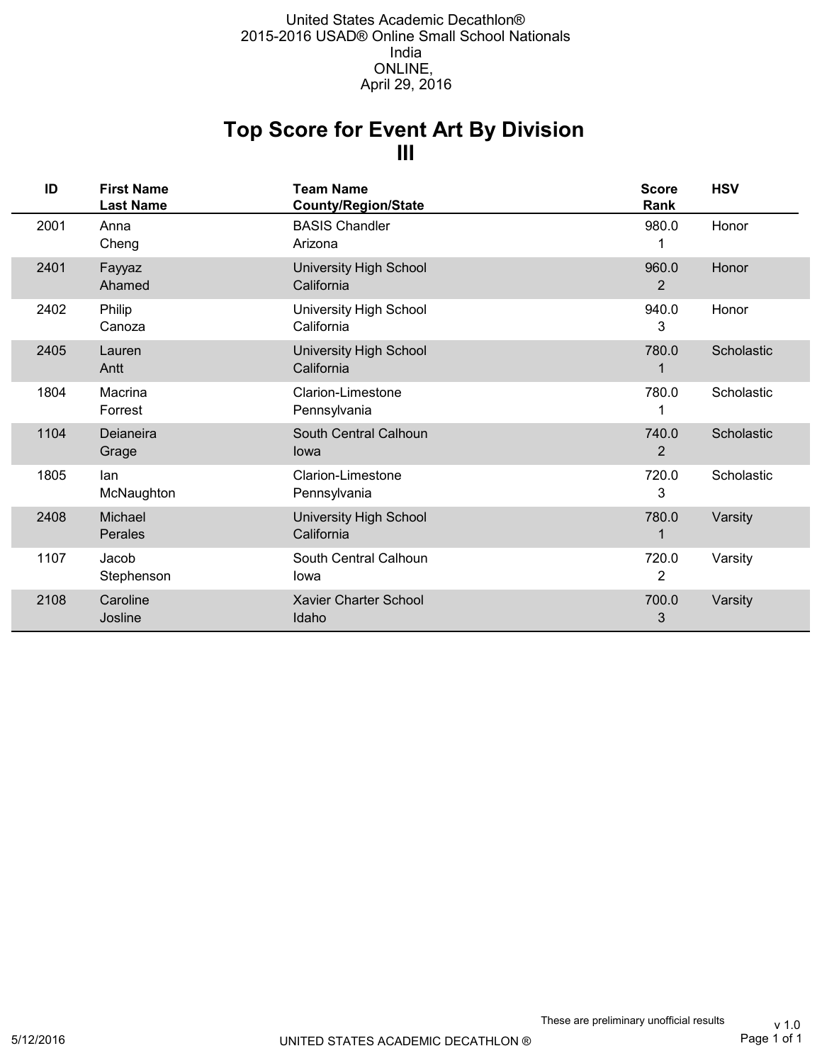## **III Top Score for Event Art By Division**

| ID   | <b>First Name</b><br><b>Last Name</b> | <b>Team Name</b><br><b>County/Region/State</b> | <b>Score</b><br>Rank    | <b>HSV</b> |
|------|---------------------------------------|------------------------------------------------|-------------------------|------------|
| 2001 | Anna<br>Cheng                         | <b>BASIS Chandler</b><br>Arizona               | 980.0                   | Honor      |
| 2401 | Fayyaz<br>Ahamed                      | <b>University High School</b><br>California    | 960.0<br>$\overline{2}$ | Honor      |
| 2402 | Philip<br>Canoza                      | <b>University High School</b><br>California    | 940.0<br>3              | Honor      |
| 2405 | Lauren<br>Antt                        | <b>University High School</b><br>California    | 780.0<br>1              | Scholastic |
| 1804 | Macrina<br>Forrest                    | Clarion-Limestone<br>Pennsylvania              | 780.0                   | Scholastic |
| 1104 | Deianeira<br>Grage                    | South Central Calhoun<br>lowa                  | 740.0<br>2              | Scholastic |
| 1805 | lan<br>McNaughton                     | Clarion-Limestone<br>Pennsylvania              | 720.0<br>3              | Scholastic |
| 2408 | Michael<br>Perales                    | <b>University High School</b><br>California    | 780.0<br>1              | Varsity    |
| 1107 | Jacob<br>Stephenson                   | South Central Calhoun<br>Iowa                  | 720.0<br>2              | Varsity    |
| 2108 | Caroline<br>Josline                   | <b>Xavier Charter School</b><br>Idaho          | 700.0<br>3              | Varsity    |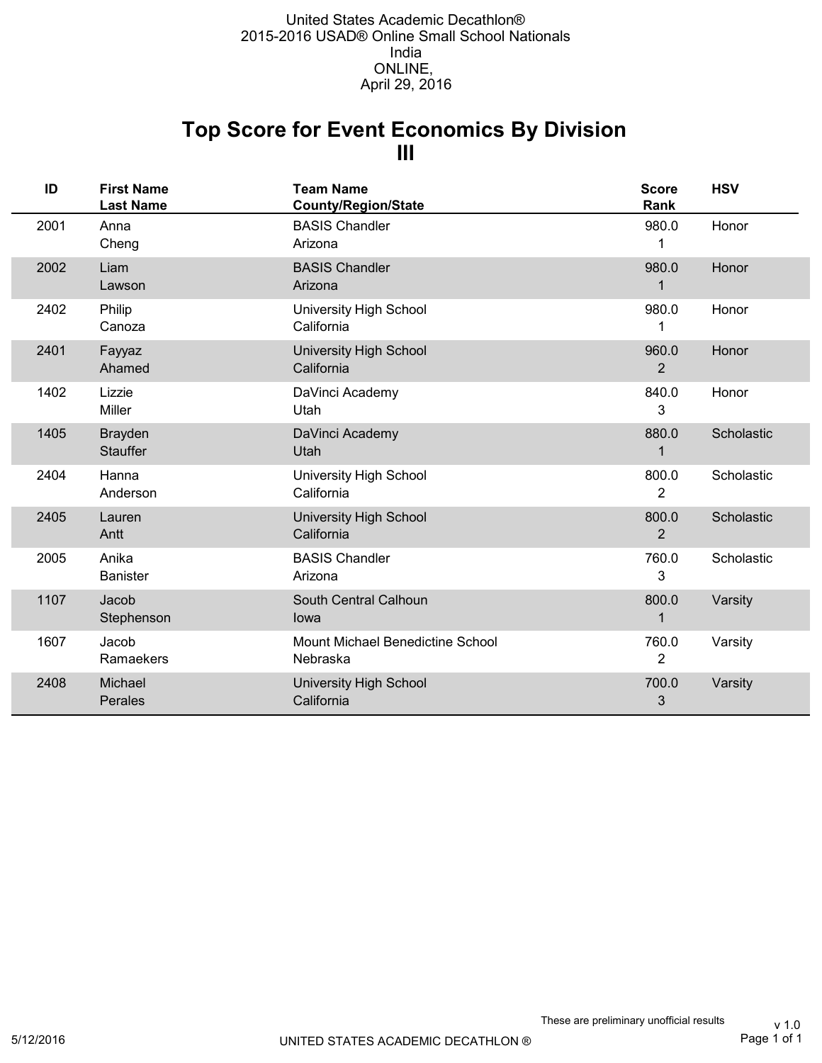## **III Top Score for Event Economics By Division**

| ID   | <b>First Name</b><br><b>Last Name</b> | <b>Team Name</b><br><b>County/Region/State</b> | <b>Score</b><br>Rank    | <b>HSV</b> |
|------|---------------------------------------|------------------------------------------------|-------------------------|------------|
| 2001 | Anna<br>Cheng                         | <b>BASIS Chandler</b><br>Arizona               | 980.0<br>1              | Honor      |
| 2002 | Liam<br>Lawson                        | <b>BASIS Chandler</b><br>Arizona               | 980.0<br>1              | Honor      |
| 2402 | Philip<br>Canoza                      | <b>University High School</b><br>California    | 980.0                   | Honor      |
| 2401 | Fayyaz<br>Ahamed                      | <b>University High School</b><br>California    | 960.0<br>$\overline{2}$ | Honor      |
| 1402 | Lizzie<br>Miller                      | DaVinci Academy<br>Utah                        | 840.0<br>3              | Honor      |
| 1405 | <b>Brayden</b><br><b>Stauffer</b>     | DaVinci Academy<br>Utah                        | 880.0<br>$\mathbf 1$    | Scholastic |
| 2404 | Hanna<br>Anderson                     | University High School<br>California           | 800.0<br>2              | Scholastic |
| 2405 | Lauren<br>Antt                        | University High School<br>California           | 800.0<br>$\overline{2}$ | Scholastic |
| 2005 | Anika<br><b>Banister</b>              | <b>BASIS Chandler</b><br>Arizona               | 760.0<br>3              | Scholastic |
| 1107 | Jacob<br>Stephenson                   | South Central Calhoun<br>lowa                  | 800.0<br>$\mathbf 1$    | Varsity    |
| 1607 | Jacob<br>Ramaekers                    | Mount Michael Benedictine School<br>Nebraska   | 760.0<br>2              | Varsity    |
| 2408 | Michael<br>Perales                    | <b>University High School</b><br>California    | 700.0<br>3              | Varsity    |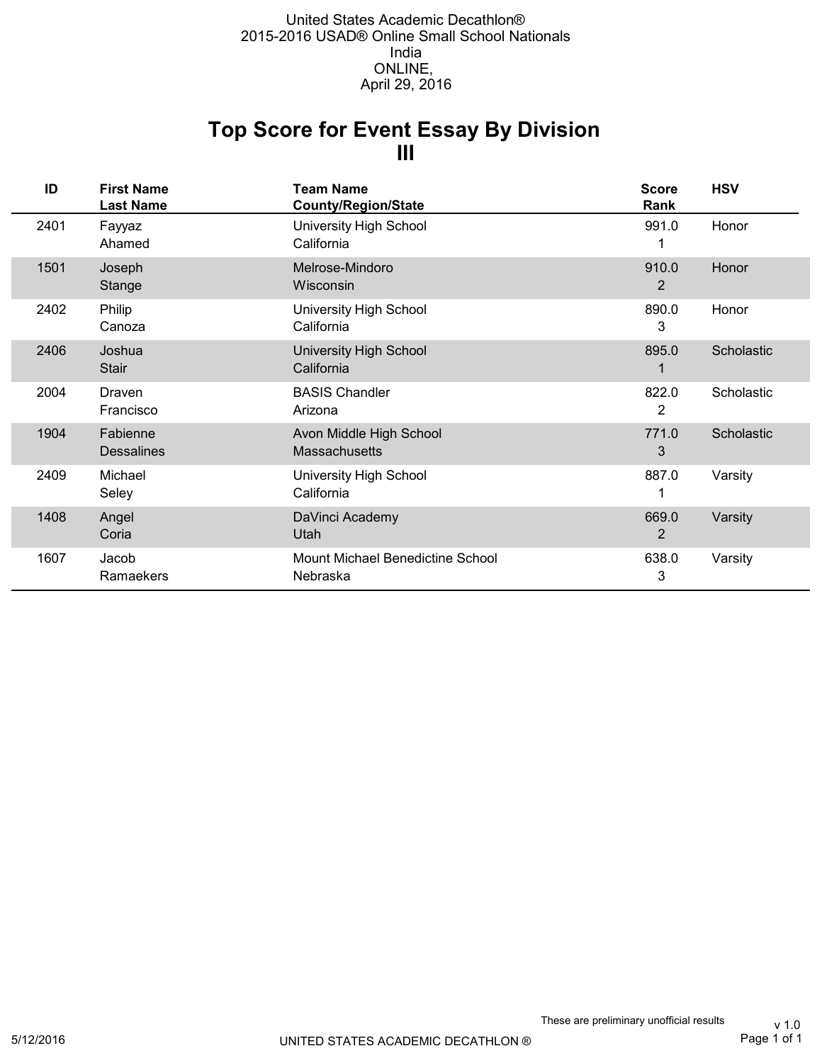## **III Top Score for Event Essay By Division**

| ID   | <b>First Name</b><br><b>Last Name</b> | <b>Team Name</b><br><b>County/Region/State</b>  | <b>Score</b><br>Rank | <b>HSV</b> |
|------|---------------------------------------|-------------------------------------------------|----------------------|------------|
| 2401 | Fayyaz<br>Ahamed                      | <b>University High School</b><br>California     | 991.0                | Honor      |
| 1501 | Joseph<br>Stange                      | Melrose-Mindoro<br>Wisconsin                    | 910.0<br>2           | Honor      |
| 2402 | Philip<br>Canoza                      | University High School<br>California            | 890.0<br>3           | Honor      |
| 2406 | Joshua<br><b>Stair</b>                | <b>University High School</b><br>California     | 895.0                | Scholastic |
| 2004 | Draven<br>Francisco                   | <b>BASIS Chandler</b><br>Arizona                | 822.0<br>2           | Scholastic |
| 1904 | Fabienne<br><b>Dessalines</b>         | Avon Middle High School<br><b>Massachusetts</b> | 771.0<br>3           | Scholastic |
| 2409 | Michael<br>Seley                      | <b>University High School</b><br>California     | 887.0                | Varsity    |
| 1408 | Angel<br>Coria                        | DaVinci Academy<br>Utah                         | 669.0<br>2           | Varsity    |
| 1607 | Jacob<br>Ramaekers                    | Mount Michael Benedictine School<br>Nebraska    | 638.0<br>3           | Varsity    |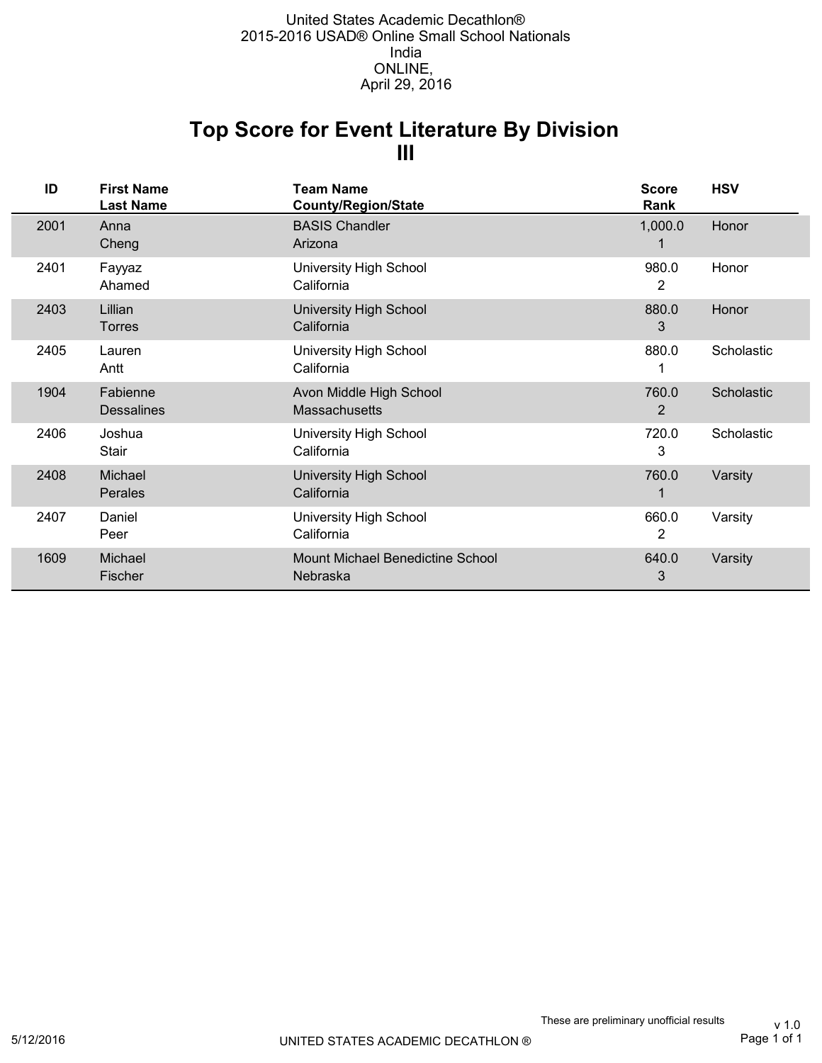### **III Top Score for Event Literature By Division**

| ID   | <b>First Name</b><br><b>Last Name</b> | Team Name<br><b>County/Region/State</b>         | <b>Score</b><br>Rank | <b>HSV</b> |
|------|---------------------------------------|-------------------------------------------------|----------------------|------------|
| 2001 | Anna<br>Cheng                         | <b>BASIS Chandler</b><br>Arizona                | 1,000.0              | Honor      |
| 2401 | Fayyaz<br>Ahamed                      | University High School<br>California            | 980.0<br>2           | Honor      |
| 2403 | Lillian<br><b>Torres</b>              | <b>University High School</b><br>California     | 880.0<br>3           | Honor      |
| 2405 | Lauren<br>Antt                        | <b>University High School</b><br>California     | 880.0                | Scholastic |
| 1904 | Fabienne<br><b>Dessalines</b>         | Avon Middle High School<br><b>Massachusetts</b> | 760.0<br>2           | Scholastic |
| 2406 | Joshua<br>Stair                       | University High School<br>California            | 720.0<br>3           | Scholastic |
| 2408 | Michael<br>Perales                    | <b>University High School</b><br>California     | 760.0                | Varsity    |
| 2407 | Daniel<br>Peer                        | University High School<br>California            | 660.0<br>2           | Varsity    |
| 1609 | Michael<br>Fischer                    | Mount Michael Benedictine School<br>Nebraska    | 640.0<br>3           | Varsity    |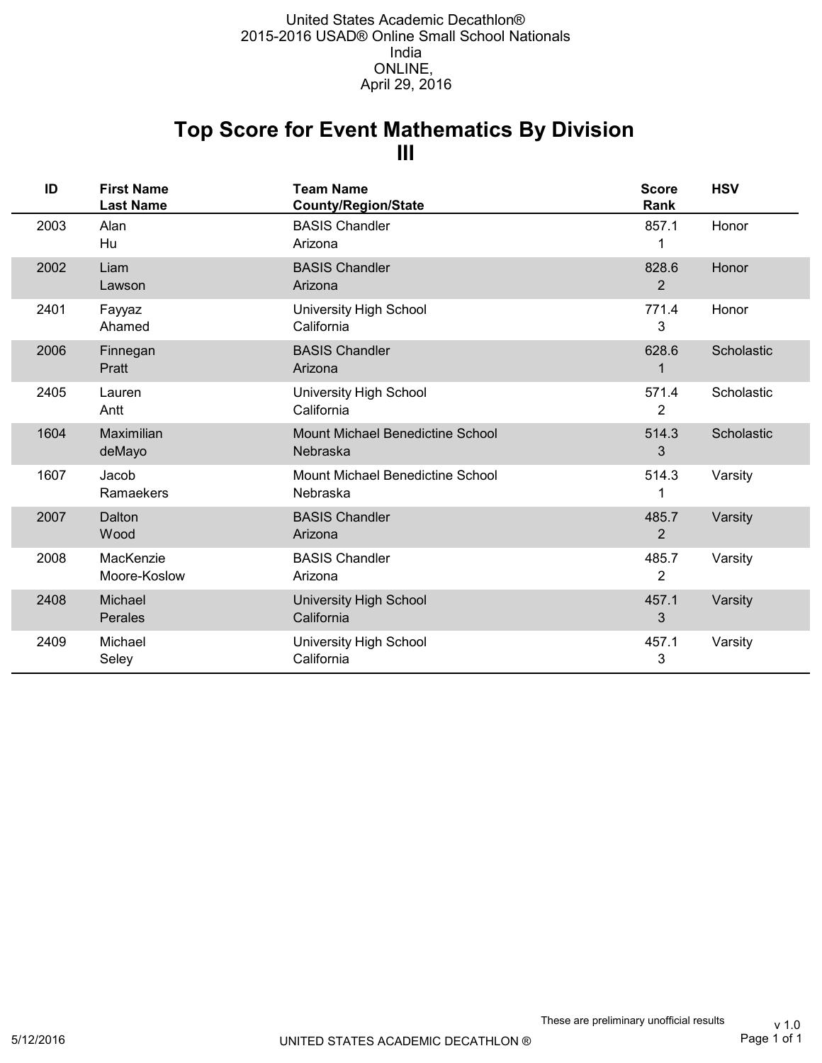## **III Top Score for Event Mathematics By Division**

| ID   | <b>First Name</b><br><b>Last Name</b> | <b>Team Name</b><br><b>County/Region/State</b> | <b>Score</b><br>Rank    | <b>HSV</b> |
|------|---------------------------------------|------------------------------------------------|-------------------------|------------|
| 2003 | Alan<br>Hu                            | <b>BASIS Chandler</b><br>Arizona               | 857.1<br>1              | Honor      |
| 2002 | Liam<br>Lawson                        | <b>BASIS Chandler</b><br>Arizona               | 828.6<br>$\overline{2}$ | Honor      |
| 2401 | Fayyaz<br>Ahamed                      | <b>University High School</b><br>California    | 771.4<br>3              | Honor      |
| 2006 | Finnegan<br>Pratt                     | <b>BASIS Chandler</b><br>Arizona               | 628.6                   | Scholastic |
| 2405 | Lauren<br>Antt                        | <b>University High School</b><br>California    | 571.4<br>2              | Scholastic |
| 1604 | Maximilian<br>deMayo                  | Mount Michael Benedictine School<br>Nebraska   | 514.3<br>3              | Scholastic |
| 1607 | Jacob<br>Ramaekers                    | Mount Michael Benedictine School<br>Nebraska   | 514.3<br>1              | Varsity    |
| 2007 | Dalton<br>Wood                        | <b>BASIS Chandler</b><br>Arizona               | 485.7<br>$\overline{2}$ | Varsity    |
| 2008 | MacKenzie<br>Moore-Koslow             | <b>BASIS Chandler</b><br>Arizona               | 485.7<br>2              | Varsity    |
| 2408 | Michael<br>Perales                    | University High School<br>California           | 457.1<br>3              | Varsity    |
| 2409 | Michael<br>Seley                      | <b>University High School</b><br>California    | 457.1<br>3              | Varsity    |

Page 1 of 1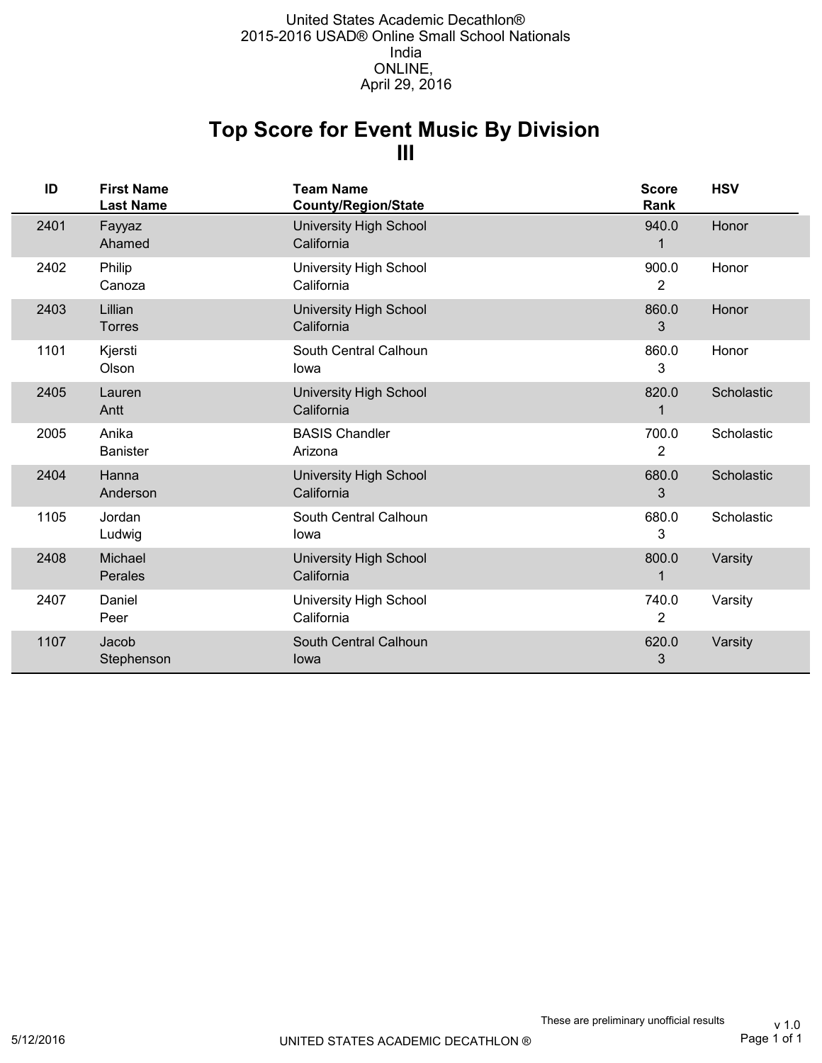## **III Top Score for Event Music By Division**

| ID   | <b>First Name</b><br><b>Last Name</b> | <b>Team Name</b><br><b>County/Region/State</b> | <b>Score</b><br>Rank | <b>HSV</b> |
|------|---------------------------------------|------------------------------------------------|----------------------|------------|
| 2401 | Fayyaz<br>Ahamed                      | <b>University High School</b><br>California    | 940.0                | Honor      |
| 2402 | Philip<br>Canoza                      | University High School<br>California           | 900.0<br>2           | Honor      |
| 2403 | Lillian<br><b>Torres</b>              | University High School<br>California           | 860.0<br>3           | Honor      |
| 1101 | Kjersti<br>Olson                      | South Central Calhoun<br>lowa                  | 860.0<br>3           | Honor      |
| 2405 | Lauren<br>Antt                        | <b>University High School</b><br>California    | 820.0                | Scholastic |
| 2005 | Anika<br><b>Banister</b>              | <b>BASIS Chandler</b><br>Arizona               | 700.0<br>2           | Scholastic |
| 2404 | Hanna<br>Anderson                     | <b>University High School</b><br>California    | 680.0<br>3           | Scholastic |
| 1105 | Jordan<br>Ludwig                      | South Central Calhoun<br>lowa                  | 680.0<br>3           | Scholastic |
| 2408 | Michael<br>Perales                    | <b>University High School</b><br>California    | 800.0                | Varsity    |
| 2407 | Daniel<br>Peer                        | University High School<br>California           | 740.0<br>2           | Varsity    |
| 1107 | Jacob<br>Stephenson                   | South Central Calhoun<br>lowa                  | 620.0<br>3           | Varsity    |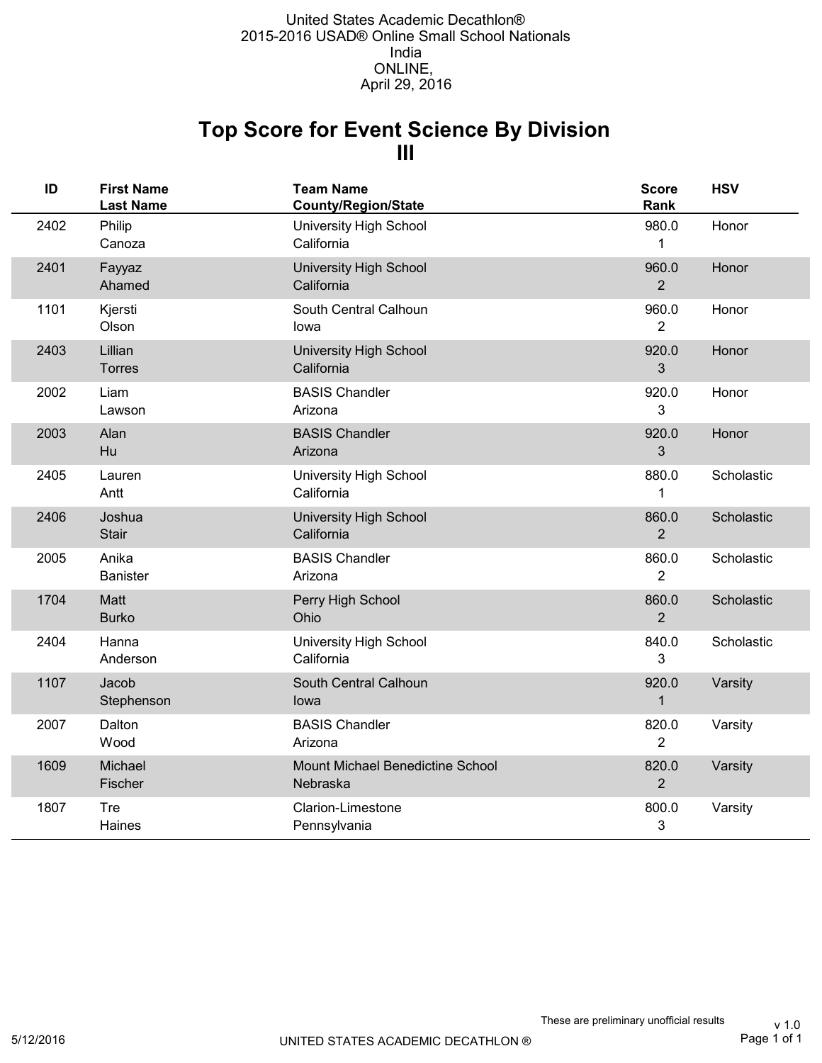## **III Top Score for Event Science By Division**

| ID   | <b>First Name</b><br><b>Last Name</b> | <b>Team Name</b><br><b>County/Region/State</b> | <b>Score</b><br>Rank    | <b>HSV</b> |
|------|---------------------------------------|------------------------------------------------|-------------------------|------------|
| 2402 | Philip<br>Canoza                      | University High School<br>California           | 980.0<br>1              | Honor      |
| 2401 | Fayyaz<br>Ahamed                      | <b>University High School</b><br>California    | 960.0<br>$\overline{2}$ | Honor      |
| 1101 | Kjersti<br>Olson                      | South Central Calhoun<br>lowa                  | 960.0<br>$\overline{2}$ | Honor      |
| 2403 | Lillian<br><b>Torres</b>              | University High School<br>California           | 920.0<br>3              | Honor      |
| 2002 | Liam<br>Lawson                        | <b>BASIS Chandler</b><br>Arizona               | 920.0<br>3              | Honor      |
| 2003 | Alan<br>Hu                            | <b>BASIS Chandler</b><br>Arizona               | 920.0<br>3              | Honor      |
| 2405 | Lauren<br>Antt                        | University High School<br>California           | 880.0<br>$\mathbf{1}$   | Scholastic |
| 2406 | Joshua<br><b>Stair</b>                | University High School<br>California           | 860.0<br>$\overline{2}$ | Scholastic |
| 2005 | Anika<br><b>Banister</b>              | <b>BASIS Chandler</b><br>Arizona               | 860.0<br>$\overline{2}$ | Scholastic |
| 1704 | <b>Matt</b><br><b>Burko</b>           | Perry High School<br>Ohio                      | 860.0<br>$\overline{2}$ | Scholastic |
| 2404 | Hanna<br>Anderson                     | University High School<br>California           | 840.0<br>3              | Scholastic |
| 1107 | Jacob<br>Stephenson                   | South Central Calhoun<br>lowa                  | 920.0<br>$\mathbf{1}$   | Varsity    |
| 2007 | Dalton<br>Wood                        | <b>BASIS Chandler</b><br>Arizona               | 820.0<br>$\overline{2}$ | Varsity    |
| 1609 | Michael<br>Fischer                    | Mount Michael Benedictine School<br>Nebraska   | 820.0<br>$\overline{2}$ | Varsity    |
| 1807 | Tre<br>Haines                         | Clarion-Limestone<br>Pennsylvania              | 800.0<br>3              | Varsity    |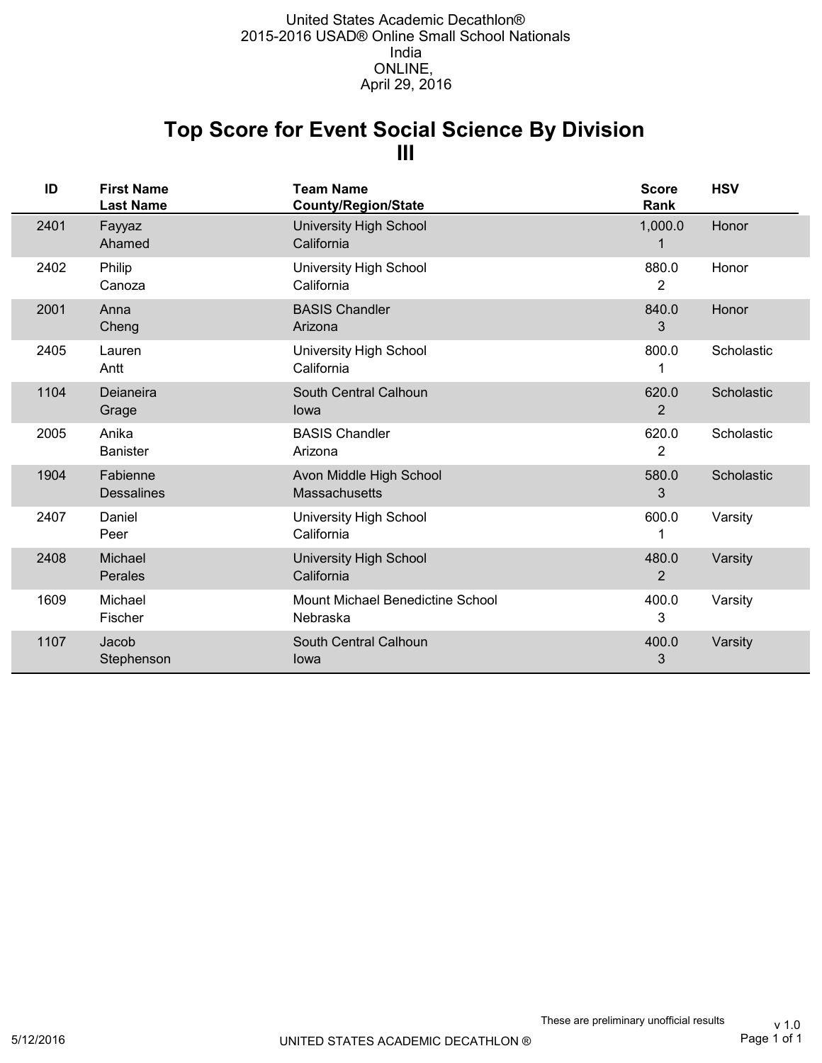## **III Top Score for Event Social Science By Division**

| ID   | <b>First Name</b><br><b>Last Name</b> | <b>Team Name</b><br><b>County/Region/State</b> | <b>Score</b><br>Rank    | <b>HSV</b> |
|------|---------------------------------------|------------------------------------------------|-------------------------|------------|
| 2401 | Fayyaz<br>Ahamed                      | <b>University High School</b><br>California    | 1,000.0                 | Honor      |
| 2402 | Philip<br>Canoza                      | University High School<br>California           | 880.0<br>2              | Honor      |
| 2001 | Anna<br>Cheng                         | <b>BASIS Chandler</b><br>Arizona               | 840.0<br>3              | Honor      |
| 2405 | Lauren<br>Antt                        | University High School<br>California           | 800.0                   | Scholastic |
| 1104 | Deianeira<br>Grage                    | South Central Calhoun<br>lowa                  | 620.0<br>2              | Scholastic |
| 2005 | Anika<br><b>Banister</b>              | <b>BASIS Chandler</b><br>Arizona               | 620.0<br>2              | Scholastic |
| 1904 | Fabienne<br><b>Dessalines</b>         | Avon Middle High School<br>Massachusetts       | 580.0<br>3              | Scholastic |
| 2407 | Daniel<br>Peer                        | University High School<br>California           | 600.0                   | Varsity    |
| 2408 | Michael<br>Perales                    | <b>University High School</b><br>California    | 480.0<br>$\overline{2}$ | Varsity    |
| 1609 | Michael<br>Fischer                    | Mount Michael Benedictine School<br>Nebraska   | 400.0<br>3              | Varsity    |
| 1107 | Jacob<br>Stephenson                   | South Central Calhoun<br>lowa                  | 400.0<br>3              | Varsity    |